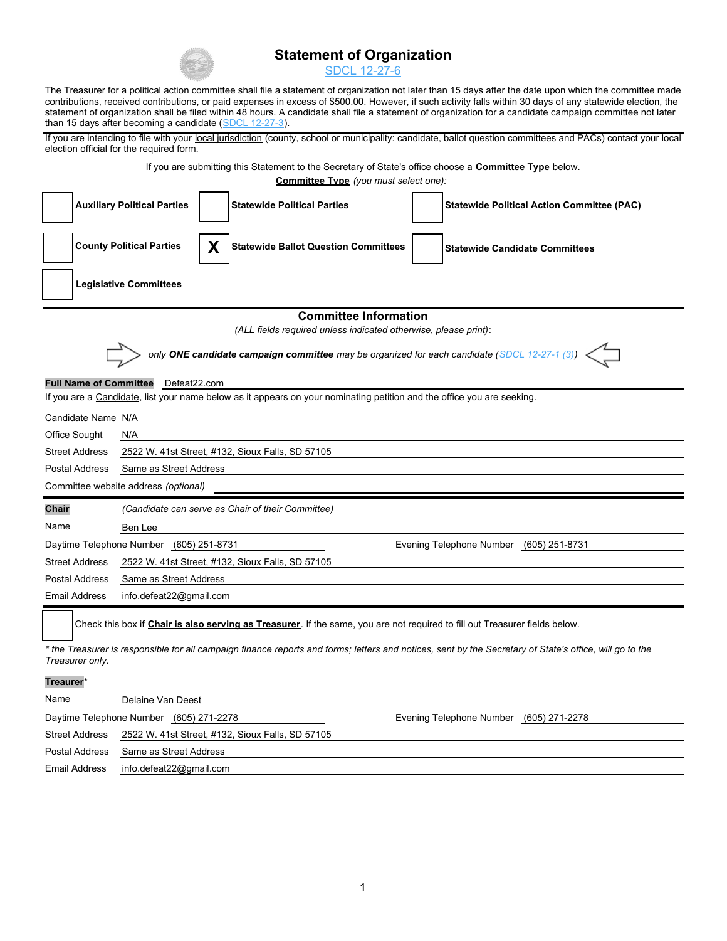

## **Statement of Organization**

SDCL 12-27-6

The Treasurer for a political action committee shall file a statement of organization not later than 15 days after the date upon which the committee made contributions, received contributions, or paid expenses in excess of \$500.00. However, if such activity falls within 30 days of any statewide election, the statement of organization shall be filed within 48 hours. A candidate shall file a statement of organization for a candidate campaign committee not later than 15 days after becoming a candidate (SDCL 12-27-3).

If you are intending to file with your local jurisdiction (county, school or municipality: candidate, ballot question committees and PACs) contact your local election official for the required form.

If you are submitting this Statement to the Secretary of State's office choose a **Committee Type** below.

**Committee Type** *(you must select one):*

|                                                                                              |                                                                                    |   | <b>COMMITTLE TYPE</b> (you must select one).                                                                                |  |                                                                                                                                                         |  |  |  |  |
|----------------------------------------------------------------------------------------------|------------------------------------------------------------------------------------|---|-----------------------------------------------------------------------------------------------------------------------------|--|---------------------------------------------------------------------------------------------------------------------------------------------------------|--|--|--|--|
|                                                                                              | <b>Auxiliary Political Parties</b>                                                 |   | <b>Statewide Political Parties</b>                                                                                          |  | <b>Statewide Political Action Committee (PAC)</b>                                                                                                       |  |  |  |  |
|                                                                                              | <b>County Political Parties</b>                                                    | X | <b>Statewide Ballot Question Committees</b>                                                                                 |  | <b>Statewide Candidate Committees</b>                                                                                                                   |  |  |  |  |
| <b>Legislative Committees</b>                                                                |                                                                                    |   |                                                                                                                             |  |                                                                                                                                                         |  |  |  |  |
|                                                                                              |                                                                                    |   | <b>Committee Information</b>                                                                                                |  |                                                                                                                                                         |  |  |  |  |
|                                                                                              |                                                                                    |   | (ALL fields required unless indicated otherwise, please print):                                                             |  |                                                                                                                                                         |  |  |  |  |
| only ONE candidate campaign committee may be organized for each candidate (SDCL 12-27-1 (3)) |                                                                                    |   |                                                                                                                             |  |                                                                                                                                                         |  |  |  |  |
|                                                                                              | <b>Full Name of Committee</b> Defeat22.com                                         |   |                                                                                                                             |  |                                                                                                                                                         |  |  |  |  |
|                                                                                              |                                                                                    |   | If you are a Candidate, list your name below as it appears on your nominating petition and the office you are seeking.      |  |                                                                                                                                                         |  |  |  |  |
| Candidate Name N/A                                                                           |                                                                                    |   |                                                                                                                             |  |                                                                                                                                                         |  |  |  |  |
| Office Sought                                                                                | N/A                                                                                |   |                                                                                                                             |  |                                                                                                                                                         |  |  |  |  |
| <b>Street Address</b>                                                                        | 2522 W. 41st Street, #132, Sioux Falls, SD 57105                                   |   |                                                                                                                             |  |                                                                                                                                                         |  |  |  |  |
| Postal Address                                                                               | Same as Street Address                                                             |   |                                                                                                                             |  |                                                                                                                                                         |  |  |  |  |
|                                                                                              | Committee website address (optional)                                               |   |                                                                                                                             |  |                                                                                                                                                         |  |  |  |  |
| Chair                                                                                        | (Candidate can serve as Chair of their Committee)                                  |   |                                                                                                                             |  |                                                                                                                                                         |  |  |  |  |
| Name                                                                                         | Ben Lee                                                                            |   |                                                                                                                             |  |                                                                                                                                                         |  |  |  |  |
|                                                                                              | Daytime Telephone Number (605) 251-8731<br>Evening Telephone Number (605) 251-8731 |   |                                                                                                                             |  |                                                                                                                                                         |  |  |  |  |
| <b>Street Address</b>                                                                        | 2522 W. 41st Street, #132, Sioux Falls, SD 57105                                   |   |                                                                                                                             |  |                                                                                                                                                         |  |  |  |  |
| Postal Address                                                                               | Same as Street Address                                                             |   |                                                                                                                             |  |                                                                                                                                                         |  |  |  |  |
| Email Address                                                                                | info.defeat22@gmail.com                                                            |   |                                                                                                                             |  |                                                                                                                                                         |  |  |  |  |
|                                                                                              |                                                                                    |   | Check this box if Chair is also serving as Treasurer. If the same, you are not required to fill out Treasurer fields below. |  |                                                                                                                                                         |  |  |  |  |
| Treasurer only.                                                                              |                                                                                    |   |                                                                                                                             |  | * the Treasurer is responsible for all campaign finance reports and forms; letters and notices, sent by the Secretary of State's office, will go to the |  |  |  |  |
| Treaurer*                                                                                    |                                                                                    |   |                                                                                                                             |  |                                                                                                                                                         |  |  |  |  |
| Name                                                                                         | Delaine Van Deest                                                                  |   |                                                                                                                             |  |                                                                                                                                                         |  |  |  |  |
|                                                                                              | Daytime Telephone Number (605) 271-2278                                            |   |                                                                                                                             |  | Evening Telephone Number (605) 271-2278                                                                                                                 |  |  |  |  |
| <b>Street Address</b>                                                                        |                                                                                    |   | 2522 W. 41st Street, #132, Sioux Falls, SD 57105                                                                            |  |                                                                                                                                                         |  |  |  |  |

Postal Address Same as Street Address info.defeat22@gmail.com

Email Address